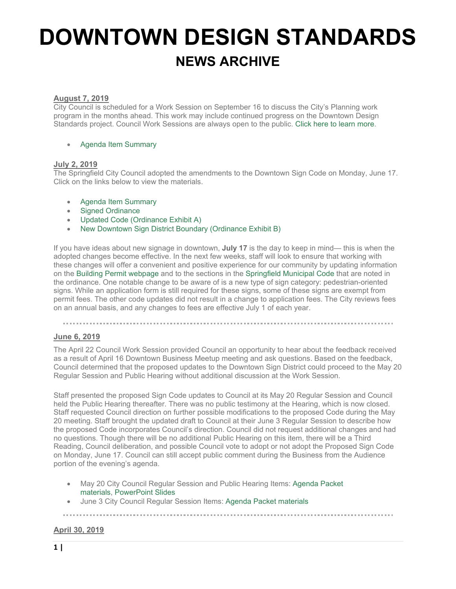# **DOWNTOWN DESIGN STANDARDS NEWS ARCHIVE**

## **August 7, 2019**

City Council is scheduled for a Work Session on September 16 to discuss the City's Planning work program in the months ahead. This work may include continued progress on the Downtown Design Standards project. Council Work Sessions are always open to the public. [Click here to learn more.](http://www.springfield-or.gov/city/city-council-meetings/)

#### • [Agenda Item Summary](http://laserfiche.springfield-or.gov/weblink/0/edoc/3921283/Item%2001%20Planning%20Work%20Program.pdf)

### **July 2, 2019**

The Springfield City Council adopted the amendments to the Downtown Sign Code on Monday, June 17. Click on the links below to view the materials.

- [Agenda Item Summary](http://www.springfield-or.gov/wp-content/uploads/2019/07/Agenda-Item-Summary.pdf)
- [Signed Ordinance](http://www.springfield-or.gov/wp-content/uploads/2019/07/Ordinance-6403-06172019.pdf)
- [Updated Code \(Ordinance Exhibit A\)](http://www.springfield-or.gov/wp-content/uploads/2019/07/Updated-Code-Ordinance-Exhibit-A.pdf)
- [New Downtown Sign District Boundary \(Ordinance Exhibit B\)](http://www.springfield-or.gov/wp-content/uploads/2019/07/New-Downtown-Sign-District-Boundary-Ordinance-Exhibit-B.pdf)

If you have ideas about new signage in downtown, **July 17** is the day to keep in mind— this is when the adopted changes become effective. In the next few weeks, staff will look to ensure that working with these changes will offer a convenient and positive experience for our community by updating information on the [Building Permit webpage](http://www.springfield-or.gov/city/development-public-works/applications-licenses-and-permits/building-permits-and-applications/) and to the sections in the [Springfield Municipal Code](http://www.qcode.us/codes/springfield/) that are noted in the ordinance. One notable change to be aware of is a new type of sign category: pedestrian-oriented signs. While an application form is still required for these signs, some of these signs are exempt from permit fees. The other code updates did not result in a change to application fees. The City reviews fees on an annual basis, and any changes to fees are effective July 1 of each year.

### **June 6, 2019**

The April 22 Council Work Session provided Council an opportunity to hear about the feedback received as a result of April 16 Downtown Business Meetup meeting and ask questions. Based on the feedback, Council determined that the proposed updates to the Downtown Sign District could proceed to the May 20 Regular Session and Public Hearing without additional discussion at the Work Session.

Staff presented the proposed Sign Code updates to Council at its May 20 Regular Session and Council held the Public Hearing thereafter. There was no public testimony at the Hearing, which is now closed. Staff requested Council direction on further possible modifications to the proposed Code during the May 20 meeting. Staff brought the updated draft to Council at their June 3 Regular Session to describe how the proposed Code incorporates Council's direction. Council did not request additional changes and had no questions. Though there will be no additional Public Hearing on this item, there will be a Third Reading, Council deliberation, and possible Council vote to adopt or not adopt the Proposed Sign Code on Monday, June 17. Council can still accept public comment during the Business from the Audience portion of the evening's agenda.

- May 20 City Council Regular Session and Public Hearing Items: [Agenda Packet](http://www.springfield-or.gov/wp-content/uploads/2019/06/Item-03-Proposed-Amendments-to-Support-Pedestrian-Oriented-Signage-Downtown.pdf)  [materials,](http://www.springfield-or.gov/wp-content/uploads/2019/06/Item-03-Proposed-Amendments-to-Support-Pedestrian-Oriented-Signage-Downtown.pdf) [PowerPoint Slides](http://www.springfield-or.gov/wp-content/uploads/2019/06/FINAL_Downtown-Sign-Code-Slides_CC-PH_5.20.19.pdf)
- June 3 City Council Regular Session Items: [Agenda Packet materials](http://www.springfield-or.gov/wp-content/uploads/2019/06/Item-10-Downtown-Sign-Code.pdf)

### **April 30, 2019**